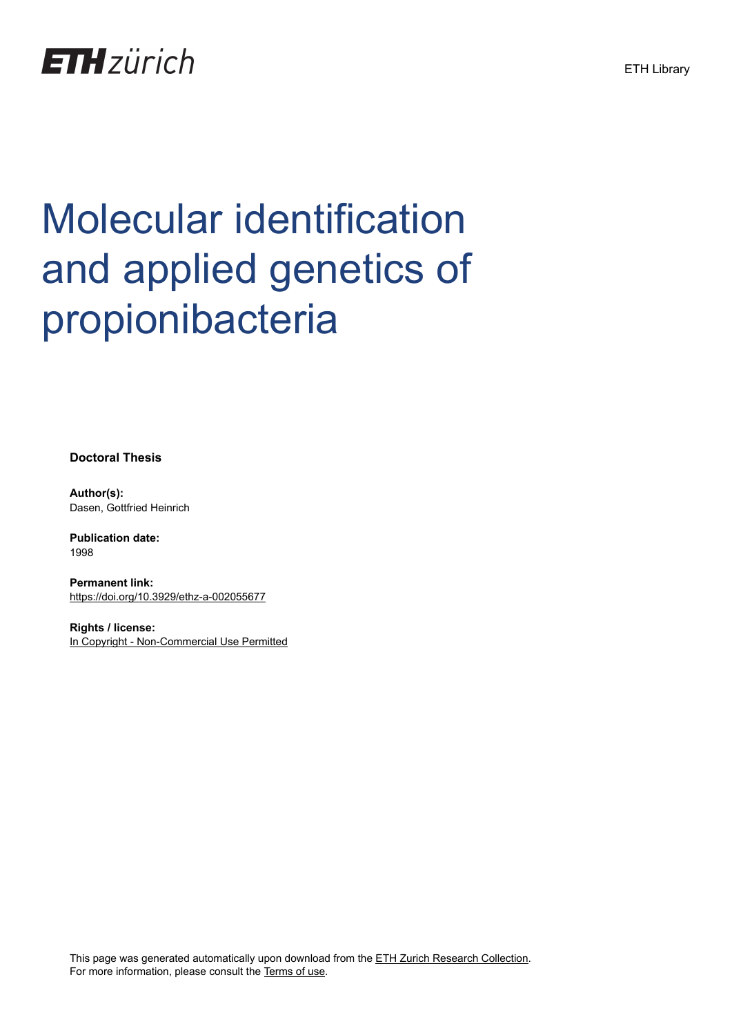

# Molecular identification and applied genetics of propionibacteria

**Doctoral Thesis**

**Author(s):** Dasen, Gottfried Heinrich

**Publication date:** 1998

**Permanent link:** <https://doi.org/10.3929/ethz-a-002055677>

**Rights / license:** [In Copyright - Non-Commercial Use Permitted](http://rightsstatements.org/page/InC-NC/1.0/)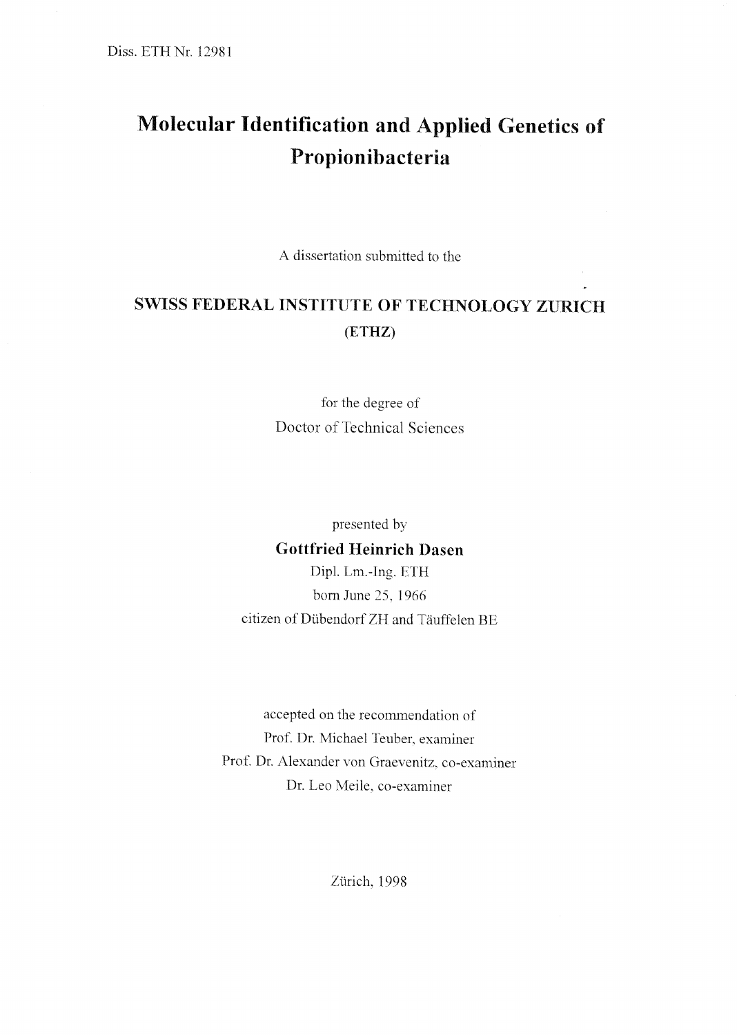# Molecular Identification and Applied Genetics of Propionibacteria

A dissertation submitted to the

## SWISS FEDERAL INSTITUTE OF TECHNOLOGY ZURICH (ETHZ)

for the degree of Doctor of Technical Sciences

presented by Gottfried Heinrich Dasen Dipl. Lm.-Ing. ETH born June 25, 1966 citizen of Dübendorf ZH and Täuffelen BE

accepted on the recommendation of Prof. Dr. Michael Teuber. examiner Prof. Dr. Alexander von Graevenitz, co-examiner Dr, Leo Meile, co-examiner

Zürich, 1998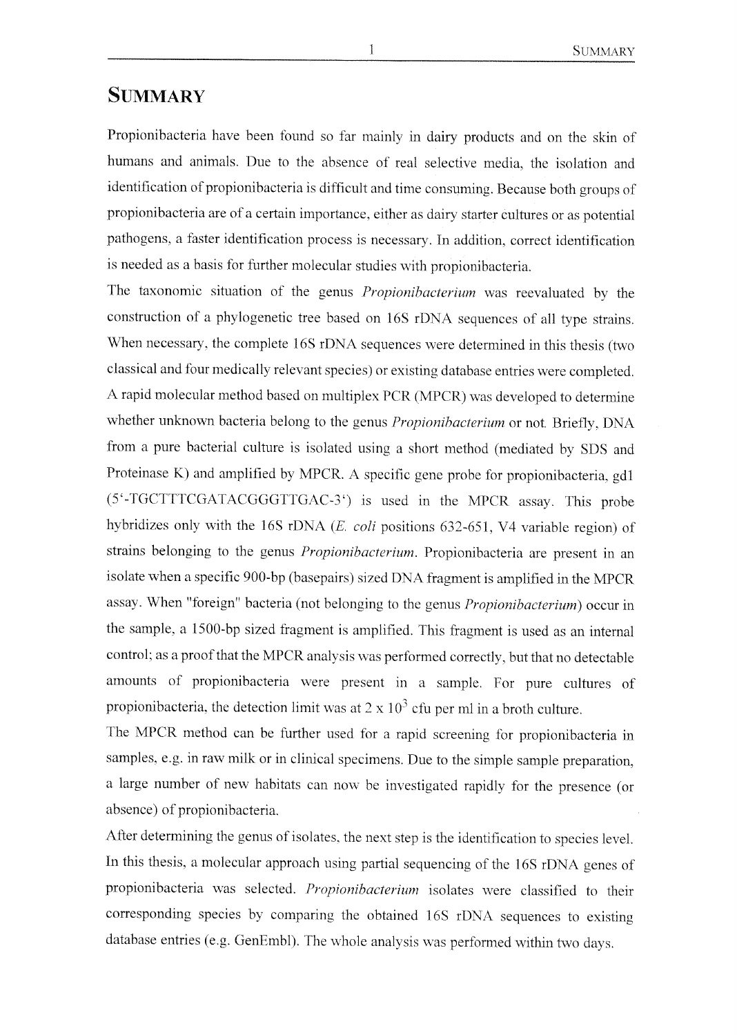### **SUMMARY**

Propionibacteria have been found so far mainly in dairy products and on the skin of humans and animals. Due to the absence of real selective media, the isolation and identification of propionibacteria is difficult and time consuming. Because both groups of propionibacteria are of a certain importance, either as dairy starter cultures or as potential pathogens, a faster identification process is necessary. In addition, correct identification is needed as a basis for further molecular studies with propionibacteria.

The taxonomic situation of the genus *Propionibacterium* was reevaluated by the construction of <sup>a</sup> phylogenetic tree based on 16S rDNA sequences of all type strains. When necessary, the complete 16S rDNA sequences were determined in this thesis (two classical and four medically relevant species) or existing database entries were completed. A rapid molecular method based on multiplex PCR (MPCR) was developed to determine whether unknown bacteria belong to the genus Propionibacterium or not. Briefly, DNA from <sup>a</sup> pure bacterial culture is isolated using <sup>a</sup> short method (mediated by SDS and Proteinase K) and amplified by MPCR. A specific gene probe for propionibacteria, gd1 (5'-TGCTTTCGATACGGGTTGAC-3') is used in the MPCR assay. This probe hybridizes only with the 16S rDNA (E. coli positions 632-651, V4 variable region) of strains belonging to the genus *Propionibacterium*. Propionibacteria are present in an isolate when a specific 900-bp (basepairs) sized DNA fragment is amplified in the MPCR assay. When "foreign" bacteria (not belonging to the genus Propionibacterium) occur in the sample, <sup>a</sup> 1500-bp sized fragment is amplified. This fragment is used as an internal control; as a proof that the MPCR analysis was performed correctly, but that no detectable amounts of propionibacteria were present in a sample. For pure cultures of propionibacteria, the detection limit was at  $2 \times 10^3$  cfu per ml in a broth culture.

The MPCR method can be further used for a rapid screening for propionibacteria in samples, e.g. in raw milk or in clinical specimens. Due to the simple sample preparation, <sup>a</sup> large number of new habitats can now be investigated rapidly for the presence (or absence) of propionibacteria.

After determining the genus of isolates, the next step is the identification to species level. In this thesis, <sup>a</sup> molecular approach using partial sequencing of the 16S rDNA genes of propionibacteria was selected. Propionibacterium isolates were classified to their corresponding species by comparing the obtained I6S rDNA sequences to existing database entries (e.g. GenEmbl). The whole analysis was performed within two days.

1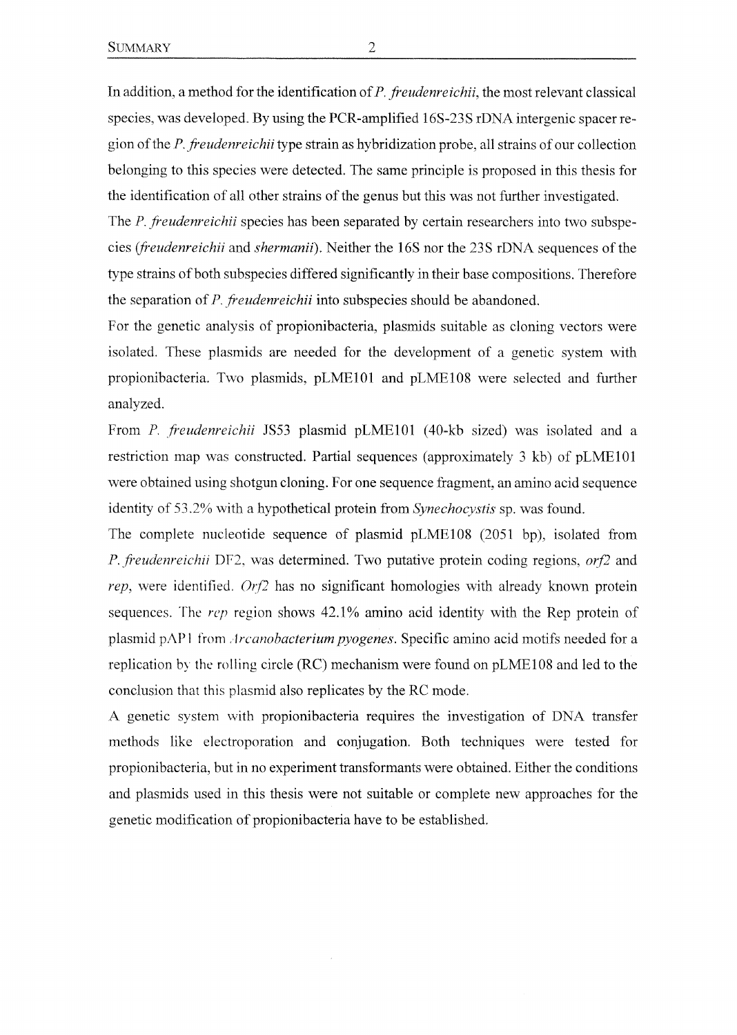In addition, a method for the identification of  $P$ . freudenreichii, the most relevant classical species, was developed. By using the PCR-amplified 16S-23S rDNA intergenic spacer region of the P. freudenreichii type strain as hybridization probe, all strains of our collection belonging to this species were detected. The same principle is proposed in this thesis for the identification of all other strains of the genus but this was not further investigated.

The P. freudenreichii species has been separated by certain researchers into two subspecies (freudenreichii and shermanii). Neither the 16S nor the 23S rDNA sequences of the type strains of both subspecies differed significantly in their base compositions. Therefore the separation of P. freudenreichii into subspecies should be abandoned.

For the genetic analysis of propionibacteria, plasmids suitable as cloning vectors were isolated. These plasmids are needed for the development of a genetic system with propionibacteria. Two plasmids, pLME101 and pLME108 were selected and further analyzed.

From P. freudenreichii JS53 plasmid pLME101 (40-kb sized) was isolated and a restriction map was construeted. Partial sequences (approximately <sup>3</sup> kb) of pLMElOl were obtained using shotgun cloning. For one sequence fragment, an amino acid sequence identity of 53.2% with a hypothetical protein from Synechocystis sp. was found.

The complete nucleotide sequence of plasmid pLME108 (2051 bp), isolated from P. freudenreichii DF2, was determined. Two putative protein coding regions, orf2 and rep, were identified.  $Orf2$  has no significant homologies with already known protein sequences. The rep region shows 42.1% amino acid identity with the Rep protein of plasmid pAP1 from *Arcanobacterium pyogenes*. Specific amino acid motifs needed for a replication by the rolling circle (RC) mechanismwere found on pLME108 and led to the conclusion that this plasmid also replicates by the RC mode.

A genetic system with propionibacteria requires the investigation of DNA transfer methods like electroporation and conjugation. Both techniques were tested for propionibacteria, but in no experiment transformants were obtained. Either the conditions and plasmids used in this thesis were not suitable or complete new approaches for the genetic modification of propionibacteria have to be established.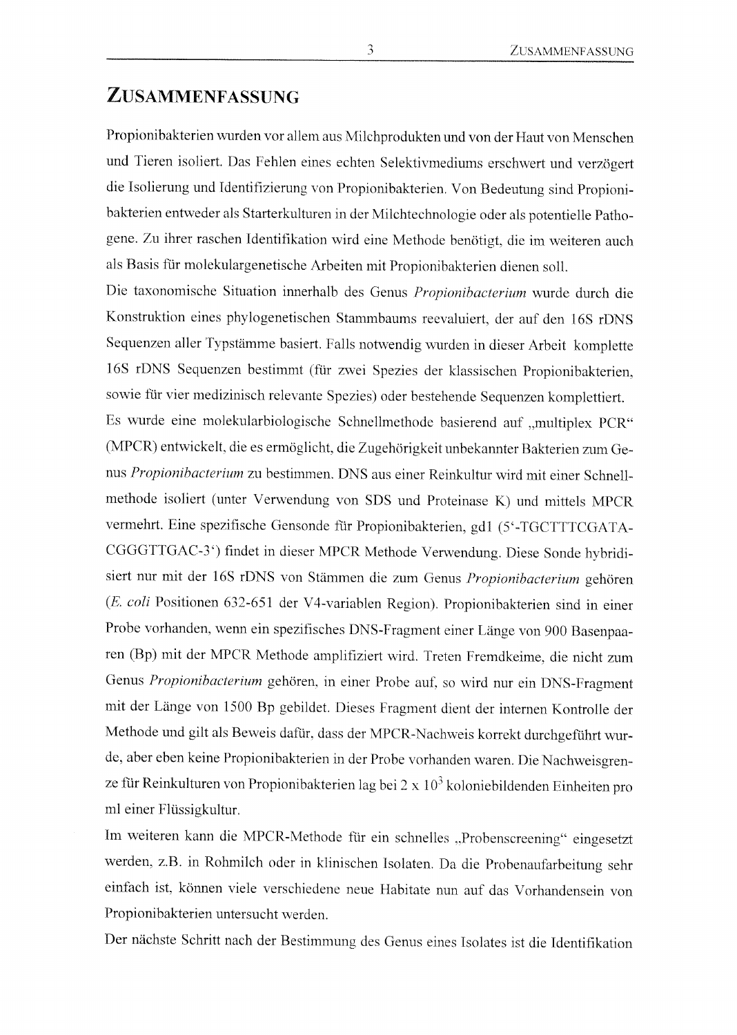#### Zusammenfassung

Propionibakterien wurden vor allem aus Milchprodukten und von der Haut von Menschen und Tieren isoliert. Das Fehlen eines echten Selektivmediums erschwert und verzögert die Isolierung und Identifizierung von Propionibakterien. Von Bedeutung sind Propionibakterien entweder als Starterkulturen in der Milchtechnologie oder als potentielle Pathogene. Zu ihrer raschen Identifikation wird eine Methode benötigt, die im weiteren auch, als Basis für molekulargenetische Arbeiten mit Propionibakterien dienen soll.

Die taxonomische Situation innerhalb des Genus Propionibacterium wurde durch die Konstruktion eines phylogenetischen Stammbaums reevaluiert, der auf den 16S rDNS Sequenzen aller Typstämme basiert. Falls notwendig wurden in dieser Arbeit komplette 16S rDNS Sequenzen bestimmt (für zwei Spezies der klassischen Propionibakterien, sowie für vier medizinisch relevante Spezies) oder bestehende Sequenzenkomplettiert. Es wurde eine molekularbiologische Schnellmethode basierend auf "multiplex PCR" (MPCR) entwickelt, die es ermöglicht, die Zugehörigkeit unbekannter Bakterien zum Genus Propionibacterium zu bestimmen. DNS aus einer Reinkultur wird mit einer Schnellmethode isoliert (unter Verwendung von SDS und Proteinase K) und mittels MPCR vermehrt. Eine spezifische Gensonde für Propionibakterien, gd1 (5'-TGCTTTCGATA-CGGGTTGAC-3') findet in dieser MPCR Methode Verwendung. Diese Sonde hybridisiert nur mit der 16S rDNS von Stämmen die zum Genus Propionibacterium gehören (E. coli Positionen 632-651 der V4-variablen Region). Propionibakterien sind in einer Probe vorhanden, wenn ein spezifisches DNS-Fragment einer Länge von 900 Basenpaaren (Bp) mit der MPCR Methode amplifiziert wird, freten Fremdkeime, die nicht zum Genus Propionibacterium gehören, in einer Probe auf. so wird nur ein DNS-Fragment mit der Länge von <sup>1500</sup> Bp gebildet. Dieses Fragment dient der internen Kontrolle der Methode und gilt als Beweis dafür, dass der MPCR-Nachweis korrekt durchgeführt wurde, aber eben keine Propionibakterien in der Probe vorhanden waren. Die Nachweisgrenze für Reinkulturen von Propionibakterien lag bei  $2 \times 10^3$  koloniebildenden Einheiten pro ml einer Flüssigkultur.

Im weiteren kann die MPCR-Methode für ein schnelles "Probenscreening" eingesetzt werden, z.B. in Rohmilch oder in klinischen Isolaten. Da die Probenaufarbeitung sehr einfach ist, können viele verschiedene neue Habitate nun auf das Vorhandensein von Propionibakterien untersucht werden.

Der nächste Schritt nach der Bestimmung des Genus eines Isolates ist die Identifikation

3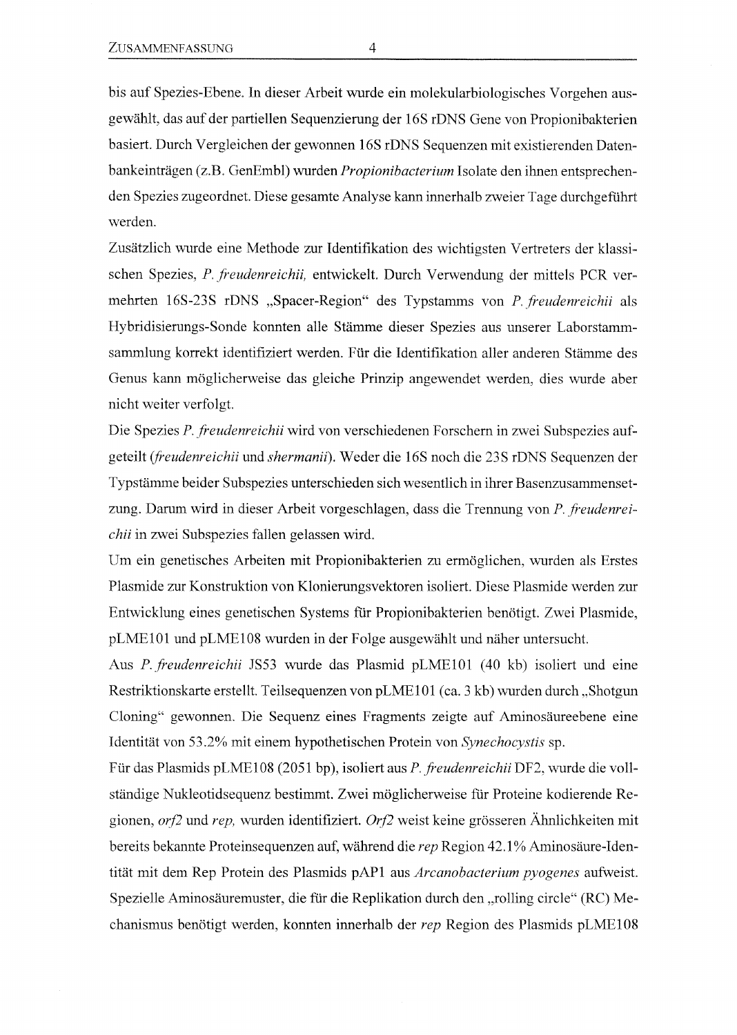bis auf Spezies-Ebene. In dieser Arbeit wurde ein molekularbiologisches Vorgehen ausgewählt, das auf der partiellen Sequenzierung der 16S rDNS Gene von Propionibakterien basiert. Durch Vergleichen der gewonnen 16S rDNS Sequenzen mit existierenden Datenbankeinträgen (z.B. GenEmbl) wurden Propionibacterium Isolate den ihnen entsprechenden Spezies zugeordnet. Diese gesamte Analyse kann innerhalb zweier Tage durchgeführt werden.

Zusätzlich wurde eine Methode zur Identifikation des wichtigsten Vertreters der klassischen Spezies, P. freudenreichii, entwickelt. Durch Verwendung der mittels PCR vermehrten 16S-23S rDNS "Spacer-Region" des Typstamms von P. freudenreichii als Hybridisierungs-Sonde konnten alle Stämme dieser Spezies aus unserer Laborstamm sammlung korrekt identifiziert werden. Für die Identifikation aller anderen Stämme des Genus kann möglicherweise das gleiche Prinzip angewendet werden, dies wurde aber nicht weiter verfolgt.

Die Spezies P. freudenreichii wird von verschiedenen Forschern in zwei Subspezies aufgeteilt (freudenreichii und shermanii). Weder die 16S noch die 23S rDNS Sequenzen der Typstämme beider Subspezies unterschieden sich wesentlich in ihrer Basenzusammensetzung. Darum wird in dieser Arbeit vorgeschlagen, dass die Trennung von P. freudenreichü in zwei Subspezies fallen gelassenwird.

Um ein genetisches Arbeiten mit Propionibakterien zu ermöglichen, wurden als Erstes Plasmide zur Konstruktion von Klonierungsvektoren isoliert. Diese Plasmide werden zur Entwicklung eines genetischen Systems für Propionibakterien benötigt. Zwei Plasmide, pLME1 Ol und pLME108 wurdenin der Folge ausgewählt und näher untersucht.

Aus P. freudenreichü JS53 wurde das Plasmid pLMElOl (40 kb) isoliert und eine Restriktionskarte erstellt. Teilsequenzen von pLME101 (ca. 3 kb) wurden durch "Shotgun Cloning" gewonnen. Die Sequenz eines Fragments zeigte auf Aminosäureebene eine Identität von 53.2% mit einem hypothetischen Protein von Synechocystis sp.

Für das Plasmids pLME108 (2051 bp), isoliert aus P. freudenreichii DF2, wurde die vollständige Nukleotidsequenz bestimmt. Zwei möglicherweise für Proteine kodierende Re gionen,  $orf2$  und rep, wurden identifiziert. Orf2 weist keine grösseren Ähnlichkeiten mit bereits bekannte Proteinsequenzen auf, während die rep Region 42.1% Aminosäure-Iden tität mit dem Rep Protein des Plasmids pAP1 aus Arcanobacterium pyogenes aufweist. Spezielle Aminosäuremuster, die für die Replikation durch den "rolling circle" (RC) Mechanismus benötigt werden, konnten innerhalb der rep Region des Plasmids pLME108